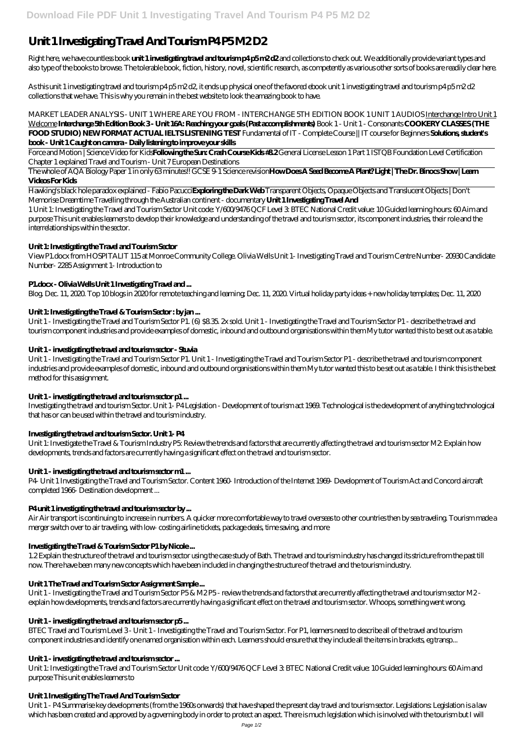# Unit 1 Investigating Travel And Tourism P4 P5 M2 D2

Right here, we have countless book **unit 1 investigating travel and tourism p4 p5 m2 d2** and collections to check out. We additionally provide variant types and also type of the books to browse. The tolerable book, fiction, history, novel, scientific research, as competently as various other sorts of books are readily clear here.

As this unit 1 investigating travel and tourism p4 p5 m2 d2, it ends up physical one of the favored ebook unit 1 investigating travel and tourism p4 p5 m2 d2 collections that we have. This is why you remain in the best website to look the amazing book to have.

*MARKET LEADER ANALYSIS - UNIT 1 WHERE ARE YOU FROM - INTERCHANGE 5TH EDITION BOOK 1 UNIT 1 AUDIOS* Interchange Intro Unit 1 Welcome **Interchange 5th Edition Book 3 - Unit 16A: Reaching your goals (Past accomplishments)** *Book 1 - Unit 1 - Consonants* **COOKERY CLASSES (THE FOOD STUDIO) NEW FORMAT ACTUAL IELTS LISTENING TEST** *Fundamental of IT - Complete Course || IT course for Beginners* **Solutions, student's book - Unit 1 Caught on camera - Daily listening to improve your skills**

Force and Motion | Science Video for Kids**Following the Sun: Crash Course Kids #8.2** *General License Lesson 1 Part 1 ISTQB Foundation Level Certification Chapter 1 explained Travel and Tourism - Unit 7 European Destinations*

The whole of AQA Biology Paper 1 in only 63 minutes!! GCSE 9-1 Science revision**How Does A Seed Become A Plant? Light | The Dr. Binocs Show | Learn Videos For Kids**

Unit 1 - Investigating the Travel and Tourism Sector P1. (6) \$8.35. 2x sold. Unit 1 - Investigating the Travel and Tourism Sector P1 - describe the travel and tourism component industries and provide examples of domestic, inbound and outbound organisations within them My tutor wanted this to be set out as a table.

Hawking's black hole paradox explained - Fabio Pacucci**Exploring the Dark Web** Transparent Objects, Opaque Objects and Translucent Objects | Don't Memorise Dreamtime Travelling through the Australian continent - documentary **Unit 1 Investigating Travel And**

1 Unit 1: Investigating the Travel and Tourism Sector Unit code: Y/600/9476 QCF Level 3: BTEC National Credit value: 10 Guided learning hours: 60 Aim and purpose This unit enables learners to develop their knowledge and understanding of the travel and tourism sector, its component industries, their role and the interrelationships within the sector.

# **Unit 1: Investigating the Travel and Tourism Sector**

View P1.docx from HOSPITALIT 115 at Monroe Community College. Olivia Wells Unit 1- Investigating Travel and Tourism Centre Number- 20930 Candidate Number- 2285 Assignment 1- Introduction to

## **P1.docx - Olivia Wells Unit 1 Investigating Travel and ...**

Blog. Dec. 11, 2020. Top 10 blogs in 2020 for remote teaching and learning; Dec. 11, 2020. Virtual holiday party ideas + new holiday templates; Dec. 11, 2020

# **Unit 1: Investigating the Travel & Tourism Sector : by jan ...**

Unit 1: Investigating the Travel and Tourism Sector Unit code: Y/600/9476 QCF Level 3: BTEC National Credit value: 10 Guided learning hours: 60 Aim and purpose This unit enables learners to

### **Unit 1 - investigating the travel and tourism sector - Stuvia**

Unit 1 - Investigating the Travel and Tourism Sector P1. Unit 1 - Investigating the Travel and Tourism Sector P1 - describe the travel and tourism component industries and provide examples of domestic, inbound and outbound organisations within them My tutor wanted this to be set out as a table. I think this is the best method for this assignment.

### **Unit 1 - investigating the travel and tourism sector p1 ...**

Investigating the travel and tourism Sector. Unit 1- P4 Legislation - Development of tourism act 1969. Technological is the development of anything technological that has or can be used within the travel and tourism industry.

# **Investigating the travel and tourism Sector. Unit 1- P4**

Unit 1: Investigate the Travel & Tourism Industry P5: Review the trends and factors that are currently affecting the travel and tourism sector M2: Explain how developments, trends and factors are currently having a significant effect on the travel and tourism sector.

### **Unit 1 - investigating the travel and tourism sector m1 ...**

P4- Unit 1 Investigating the Travel and Tourism Sector. Content 1960- Introduction of the Internet 1969- Development of Tourism Act and Concord aircraft completed 1966- Destination development ...

### **P4 unit 1 investigating the travel and tourism sector by ...**

Air Air transport is continuing to increase in numbers. A quicker more comfortable way to travel overseas to other countries then by sea traveling. Tourism made a merger switch over to air traveling, with low- costing airline tickets, package deals, time saving, and more

# **Investigating the Travel & Tourism Sector P1 by Nicole ...**

1.2 Explain the structure of the travel and tourism sector using the case study of Bath. The travel and tourism industry has changed its stricture from the past till

now. There have been many new concepts which have been included in changing the structure of the travel and the tourism industry.

#### **Unit 1 The Travel and Tourism Sector Assignment Sample ...**

Unit 1 - Investigating the Travel and Tourism Sector P5 & M2 P5 - review the trends and factors that are currently affecting the travel and tourism sector M2 explain how developments, trends and factors are currently having a significant effect on the travel and tourism sector. Whoops, something went wrong.

#### **Unit 1 - investigating the travel and tourism sector p5 ...**

BTEC Travel and Tourism Level 3 - Unit 1 - Investigating the Travel and Tourism Sector. For P1, learners need to describe all of the travel and tourism component industries and identify one named organisation within each. Learners should ensure that they include all the items in brackets, eg transp...

#### **Unit 1 - investigating the travel and tourism sector ...**

#### **Unit 1 Investigating The Travel And Tourism Sector**

Unit 1 - P4 Summarise key developments (from the 1960s onwards) that have shaped the present day travel and tourism sector. Legislations: Legislation is a law which has been created and approved by a governing body in order to protect an aspect. There is much legislation which is involved with the tourism but I will